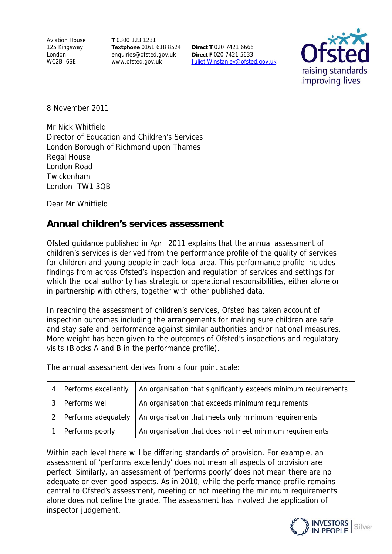Aviation House 125 Kingsway London WC2B 6SE

**T** 0300 123 1231 **Textphone** 0161 618 8524 enquiries@ofsted.gov.uk www.ofsted.gov.uk

**Direct T** 020 7421 6666 **Direct F** 020 7421 5633 Juliet.Winstanley@ofsted.gov.uk



8 November 2011

Mr Nick Whitfield Director of Education and Children's Services London Borough of Richmond upon Thames Regal House London Road Twickenham London TW1 3QB

Dear Mr Whitfield

## **Annual children's services assessment**

Ofsted guidance published in April 2011 explains that the annual assessment of children's services is derived from the performance profile of the quality of services for children and young people in each local area. This performance profile includes findings from across Ofsted's inspection and regulation of services and settings for which the local authority has strategic or operational responsibilities, either alone or in partnership with others, together with other published data.

In reaching the assessment of children's services, Ofsted has taken account of inspection outcomes including the arrangements for making sure children are safe and stay safe and performance against similar authorities and/or national measures. More weight has been given to the outcomes of Ofsted's inspections and regulatory visits (Blocks A and B in the performance profile).

The annual assessment derives from a four point scale:

|               | Performs excellently | An organisation that significantly exceeds minimum requirements |
|---------------|----------------------|-----------------------------------------------------------------|
|               | Performs well        | An organisation that exceeds minimum requirements               |
| $\mathcal{P}$ | Performs adequately  | An organisation that meets only minimum requirements            |
|               | Performs poorly      | An organisation that does not meet minimum requirements         |

Within each level there will be differing standards of provision. For example, an assessment of 'performs excellently' does not mean all aspects of provision are perfect. Similarly, an assessment of 'performs poorly' does not mean there are no adequate or even good aspects. As in 2010, while the performance profile remains central to Ofsted's assessment, meeting or not meeting the minimum requirements alone does not define the grade. The assessment has involved the application of inspector judgement.

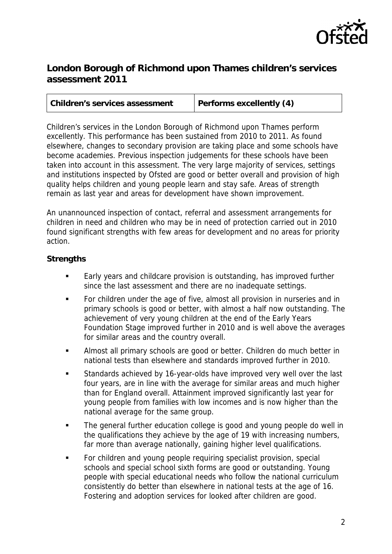

## **London Borough of Richmond upon Thames children's services assessment 2011**

| <b>Children's services assessment</b> | <b>Performs excellently (4)</b> |
|---------------------------------------|---------------------------------|
|                                       |                                 |

Children's services in the London Borough of Richmond upon Thames perform excellently. This performance has been sustained from 2010 to 2011. As found elsewhere, changes to secondary provision are taking place and some schools have become academies. Previous inspection judgements for these schools have been taken into account in this assessment. The very large majority of services, settings and institutions inspected by Ofsted are good or better overall and provision of high quality helps children and young people learn and stay safe. Areas of strength remain as last year and areas for development have shown improvement.

An unannounced inspection of contact, referral and assessment arrangements for children in need and children who may be in need of protection carried out in 2010 found significant strengths with few areas for development and no areas for priority action.

## **Strengths**

- **Early years and childcare provision is outstanding, has improved further** since the last assessment and there are no inadequate settings.
- For children under the age of five, almost all provision in nurseries and in primary schools is good or better, with almost a half now outstanding. The achievement of very young children at the end of the Early Years Foundation Stage improved further in 2010 and is well above the averages for similar areas and the country overall.
- **Almost all primary schools are good or better. Children do much better in** national tests than elsewhere and standards improved further in 2010.
- Standards achieved by 16-year-olds have improved very well over the last four years, are in line with the average for similar areas and much higher than for England overall. Attainment improved significantly last year for young people from families with low incomes and is now higher than the national average for the same group.
- The general further education college is good and young people do well in the qualifications they achieve by the age of 19 with increasing numbers, far more than average nationally, gaining higher level qualifications.
- **For children and young people requiring specialist provision, special** schools and special school sixth forms are good or outstanding. Young people with special educational needs who follow the national curriculum consistently do better than elsewhere in national tests at the age of 16. Fostering and adoption services for looked after children are good.